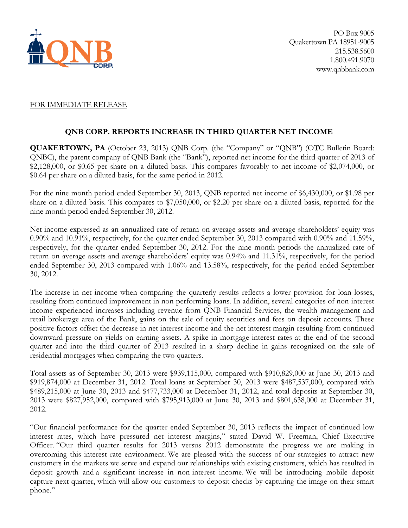

# FOR IMMEDIATE RELEASE

# **QNB CORP. REPORTS INCREASE IN THIRD QUARTER NET INCOME**

**QUAKERTOWN, PA** (October 23, 2013) QNB Corp. (the "Company" or "QNB") (OTC Bulletin Board: QNBC), the parent company of QNB Bank (the "Bank"), reported net income for the third quarter of 2013 of \$2,128,000, or \$0.65 per share on a diluted basis. This compares favorably to net income of \$2,074,000, or \$0.64 per share on a diluted basis, for the same period in 2012.

For the nine month period ended September 30, 2013, QNB reported net income of \$6,430,000, or \$1.98 per share on a diluted basis. This compares to \$7,050,000, or \$2.20 per share on a diluted basis, reported for the nine month period ended September 30, 2012.

Net income expressed as an annualized rate of return on average assets and average shareholders' equity was 0.90% and 10.91%, respectively, for the quarter ended September 30, 2013 compared with 0.90% and 11.59%, respectively, for the quarter ended September 30, 2012. For the nine month periods the annualized rate of return on average assets and average shareholders' equity was 0.94% and 11.31%, respectively, for the period ended September 30, 2013 compared with 1.06% and 13.58%, respectively, for the period ended September 30, 2012.

The increase in net income when comparing the quarterly results reflects a lower provision for loan losses, resulting from continued improvement in non-performing loans. In addition, several categories of non-interest income experienced increases including revenue from QNB Financial Services, the wealth management and retail brokerage area of the Bank, gains on the sale of equity securities and fees on deposit accounts. These positive factors offset the decrease in net interest income and the net interest margin resulting from continued downward pressure on yields on earning assets. A spike in mortgage interest rates at the end of the second quarter and into the third quarter of 2013 resulted in a sharp decline in gains recognized on the sale of residential mortgages when comparing the two quarters.

Total assets as of September 30, 2013 were \$939,115,000, compared with \$910,829,000 at June 30, 2013 and \$919,874,000 at December 31, 2012. Total loans at September 30, 2013 were \$487,537,000, compared with \$489,215,000 at June 30, 2013 and \$477,733,000 at December 31, 2012, and total deposits at September 30, 2013 were \$827,952,000, compared with \$795,913,000 at June 30, 2013 and \$801,638,000 at December 31, 2012.

"Our financial performance for the quarter ended September 30, 2013 reflects the impact of continued low interest rates, which have pressured net interest margins," stated David W. Freeman, Chief Executive Officer. "Our third quarter results for 2013 versus 2012 demonstrate the progress we are making in overcoming this interest rate environment. We are pleased with the success of our strategies to attract new customers in the markets we serve and expand our relationships with existing customers, which has resulted in deposit growth and a significant increase in non-interest income. We will be introducing mobile deposit capture next quarter, which will allow our customers to deposit checks by capturing the image on their smart phone."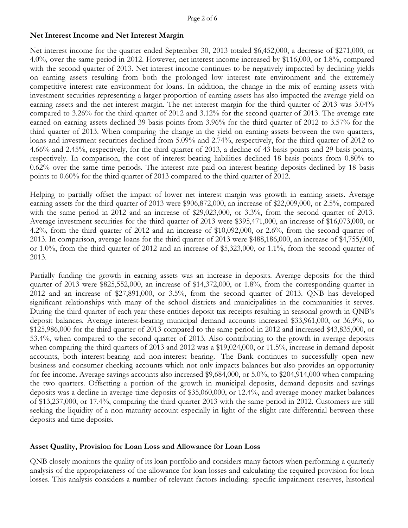# **Net Interest Income and Net Interest Margin**

Net interest income for the quarter ended September 30, 2013 totaled \$6,452,000, a decrease of \$271,000, or 4.0%, over the same period in 2012. However, net interest income increased by \$116,000, or 1.8%, compared with the second quarter of 2013. Net interest income continues to be negatively impacted by declining yields on earning assets resulting from both the prolonged low interest rate environment and the extremely competitive interest rate environment for loans. In addition, the change in the mix of earning assets with investment securities representing a larger proportion of earning assets has also impacted the average yield on earning assets and the net interest margin. The net interest margin for the third quarter of 2013 was 3.04% compared to 3.26% for the third quarter of 2012 and 3.12% for the second quarter of 2013. The average rate earned on earning assets declined 39 basis points from 3.96% for the third quarter of 2012 to 3.57% for the third quarter of 2013. When comparing the change in the yield on earning assets between the two quarters, loans and investment securities declined from 5.09% and 2.74%, respectively, for the third quarter of 2012 to 4.66% and 2.45%, respectively, for the third quarter of 2013, a decline of 43 basis points and 29 basis points, respectively. In comparison, the cost of interest-bearing liabilities declined 18 basis points from 0.80% to 0.62% over the same time periods. The interest rate paid on interest-bearing deposits declined by 18 basis points to 0.60% for the third quarter of 2013 compared to the third quarter of 2012.

Helping to partially offset the impact of lower net interest margin was growth in earning assets. Average earning assets for the third quarter of 2013 were \$906,872,000, an increase of \$22,009,000, or 2.5%, compared with the same period in 2012 and an increase of \$29,023,000, or 3.3%, from the second quarter of 2013. Average investment securities for the third quarter of 2013 were \$395,471,000, an increase of \$16,073,000, or 4.2%, from the third quarter of 2012 and an increase of \$10,092,000, or 2.6%, from the second quarter of 2013. In comparison, average loans for the third quarter of 2013 were \$488,186,000, an increase of \$4,755,000, or 1.0%, from the third quarter of 2012 and an increase of \$5,323,000, or 1.1%, from the second quarter of 2013.

Partially funding the growth in earning assets was an increase in deposits. Average deposits for the third quarter of 2013 were \$825,552,000, an increase of \$14,372,000, or 1.8%, from the corresponding quarter in 2012 and an increase of \$27,891,000, or 3.5%, from the second quarter of 2013. QNB has developed significant relationships with many of the school districts and municipalities in the communities it serves. During the third quarter of each year these entities deposit tax receipts resulting in seasonal growth in QNB's deposit balances. Average interest-bearing municipal demand accounts increased \$33,961,000, or 36.9%, to \$125,986,000 for the third quarter of 2013 compared to the same period in 2012 and increased \$43,835,000, or 53.4%, when compared to the second quarter of 2013. Also contributing to the growth in average deposits when comparing the third quarters of 2013 and 2012 was a \$19,024,000, or 11.5%, increase in demand deposit accounts, both interest-bearing and non-interest bearing. The Bank continues to successfully open new business and consumer checking accounts which not only impacts balances but also provides an opportunity for fee income. Average savings accounts also increased \$9,684,000, or 5.0%, to \$204,914,000 when comparing the two quarters. Offsetting a portion of the growth in municipal deposits, demand deposits and savings deposits was a decline in average time deposits of \$35,060,000, or 12.4%, and average money market balances of \$13,237,000, or 17.4%, comparing the third quarter 2013 with the same period in 2012. Customers are still seeking the liquidity of a non-maturity account especially in light of the slight rate differential between these deposits and time deposits.

# **Asset Quality, Provision for Loan Loss and Allowance for Loan Loss**

QNB closely monitors the quality of its loan portfolio and considers many factors when performing a quarterly analysis of the appropriateness of the allowance for loan losses and calculating the required provision for loan losses. This analysis considers a number of relevant factors including: specific impairment reserves, historical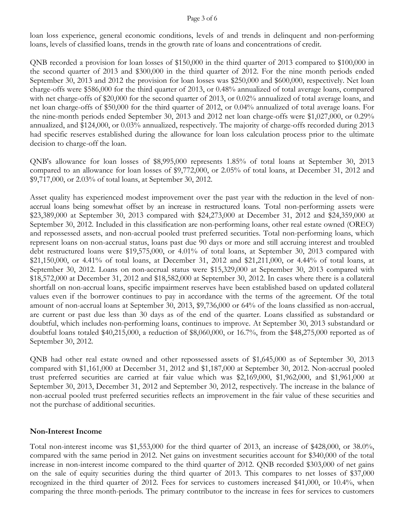### Page 3 of 6

loan loss experience, general economic conditions, levels of and trends in delinquent and non-performing loans, levels of classified loans, trends in the growth rate of loans and concentrations of credit.

QNB recorded a provision for loan losses of \$150,000 in the third quarter of 2013 compared to \$100,000 in the second quarter of 2013 and \$300,000 in the third quarter of 2012. For the nine month periods ended September 30, 2013 and 2012 the provision for loan losses was \$250,000 and \$600,000, respectively. Net loan charge-offs were \$586,000 for the third quarter of 2013, or 0.48% annualized of total average loans, compared with net charge-offs of \$20,000 for the second quarter of 2013, or 0.02% annualized of total average loans, and net loan charge-offs of \$50,000 for the third quarter of 2012, or 0.04% annualized of total average loans. For the nine-month periods ended September 30, 2013 and 2012 net loan charge-offs were \$1,027,000, or 0.29% annualized, and \$124,000, or 0.03% annualized, respectively. The majority of charge-offs recorded during 2013 had specific reserves established during the allowance for loan loss calculation process prior to the ultimate decision to charge-off the loan.

QNB's allowance for loan losses of \$8,995,000 represents 1.85% of total loans at September 30, 2013 compared to an allowance for loan losses of \$9,772,000, or 2.05% of total loans, at December 31, 2012 and \$9,717,000, or 2.03% of total loans, at September 30, 2012.

Asset quality has experienced modest improvement over the past year with the reduction in the level of nonaccrual loans being somewhat offset by an increase in restructured loans. Total non-performing assets were \$23,389,000 at September 30, 2013 compared with \$24,273,000 at December 31, 2012 and \$24,359,000 at September 30, 2012. Included in this classification are non-performing loans, other real estate owned (OREO) and repossessed assets, and non-accrual pooled trust preferred securities. Total non-performing loans, which represent loans on non-accrual status, loans past due 90 days or more and still accruing interest and troubled debt restructured loans were \$19,575,000, or 4.01% of total loans, at September 30, 2013 compared with \$21,150,000, or 4.41% of total loans, at December 31, 2012 and \$21,211,000, or 4.44% of total loans, at September 30, 2012. Loans on non-accrual status were \$15,329,000 at September 30, 2013 compared with \$18,572,000 at December 31, 2012 and \$18,582,000 at September 30, 2012. In cases where there is a collateral shortfall on non-accrual loans, specific impairment reserves have been established based on updated collateral values even if the borrower continues to pay in accordance with the terms of the agreement. Of the total amount of non-accrual loans at September 30, 2013, \$9,736,000 or 64% of the loans classified as non-accrual, are current or past due less than 30 days as of the end of the quarter. Loans classified as substandard or doubtful, which includes non-performing loans, continues to improve. At September 30, 2013 substandard or doubtful loans totaled \$40,215,000, a reduction of \$8,060,000, or 16.7%, from the \$48,275,000 reported as of September 30, 2012.

QNB had other real estate owned and other repossessed assets of \$1,645,000 as of September 30, 2013 compared with \$1,161,000 at December 31, 2012 and \$1,187,000 at September 30, 2012. Non-accrual pooled trust preferred securities are carried at fair value which was \$2,169,000, \$1,962,000, and \$1,961,000 at September 30, 2013, December 31, 2012 and September 30, 2012, respectively. The increase in the balance of non-accrual pooled trust preferred securities reflects an improvement in the fair value of these securities and not the purchase of additional securities.

## **Non-Interest Income**

Total non-interest income was \$1,553,000 for the third quarter of 2013, an increase of \$428,000, or 38.0%, compared with the same period in 2012. Net gains on investment securities account for \$340,000 of the total increase in non-interest income compared to the third quarter of 2012. QNB recorded \$303,000 of net gains on the sale of equity securities during the third quarter of 2013. This compares to net losses of \$37,000 recognized in the third quarter of 2012. Fees for services to customers increased \$41,000, or 10.4%, when comparing the three month-periods. The primary contributor to the increase in fees for services to customers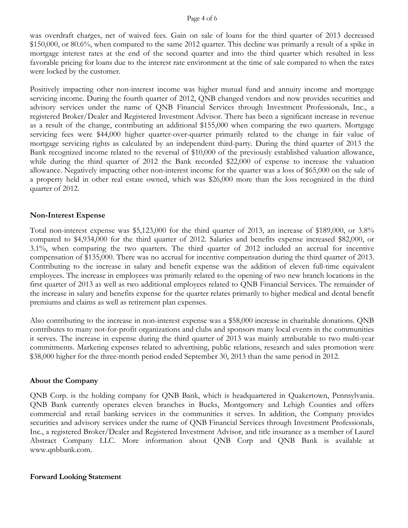#### Page 4 of 6

was overdraft charges, net of waived fees. Gain on sale of loans for the third quarter of 2013 decreased \$150,000, or 80.6%, when compared to the same 2012 quarter. This decline was primarily a result of a spike in mortgage interest rates at the end of the second quarter and into the third quarter which resulted in less favorable pricing for loans due to the interest rate environment at the time of sale compared to when the rates were locked by the customer.

Positively impacting other non-interest income was higher mutual fund and annuity income and mortgage servicing income. During the fourth quarter of 2012, QNB changed vendors and now provides securities and advisory services under the name of QNB Financial Services through Investment Professionals, Inc., a registered Broker/Dealer and Registered Investment Advisor. There has been a significant increase in revenue as a result of the change, contributing an additional \$155,000 when comparing the two quarters. Mortgage servicing fees were \$44,000 higher quarter-over-quarter primarily related to the change in fair value of mortgage servicing rights as calculated by an independent third-party. During the third quarter of 2013 the Bank recognized income related to the reversal of \$10,000 of the previously established valuation allowance, while during the third quarter of 2012 the Bank recorded \$22,000 of expense to increase the valuation allowance. Negatively impacting other non-interest income for the quarter was a loss of \$65,000 on the sale of a property held in other real estate owned, which was \$26,000 more than the loss recognized in the third quarter of 2012.

### **Non-Interest Expense**

Total non-interest expense was \$5,123,000 for the third quarter of 2013, an increase of \$189,000, or 3.8% compared to \$4,934,000 for the third quarter of 2012. Salaries and benefits expense increased \$82,000, or 3.1%, when comparing the two quarters. The third quarter of 2012 included an accrual for incentive compensation of \$135,000. There was no accrual for incentive compensation during the third quarter of 2013. Contributing to the increase in salary and benefit expense was the addition of eleven full-time equivalent employees. The increase in employees was primarily related to the opening of two new branch locations in the first quarter of 2013 as well as two additional employees related to QNB Financial Services. The remainder of the increase in salary and benefits expense for the quarter relates primarily to higher medical and dental benefit premiums and claims as well as retirement plan expenses.

Also contributing to the increase in non-interest expense was a \$58,000 increase in charitable donations. QNB contributes to many not-for-profit organizations and clubs and sponsors many local events in the communities it serves. The increase in expense during the third quarter of 2013 was mainly attributable to two multi-year commitments. Marketing expenses related to advertising, public relations, research and sales promotion were \$38,000 higher for the three-month period ended September 30, 2013 than the same period in 2012.

### **About the Company**

QNB Corp. is the holding company for QNB Bank, which is headquartered in Quakertown, Pennsylvania. QNB Bank currently operates eleven branches in Bucks, Montgomery and Lehigh Counties and offers commercial and retail banking services in the communities it serves. In addition, the Company provides securities and advisory services under the name of QNB Financial Services through Investment Professionals, Inc., a registered Broker/Dealer and Registered Investment Advisor, and title insurance as a member of Laurel Abstract Company LLC. More information about QNB Corp and QNB Bank is available at www.qnbbank.com.

### **Forward Looking Statement**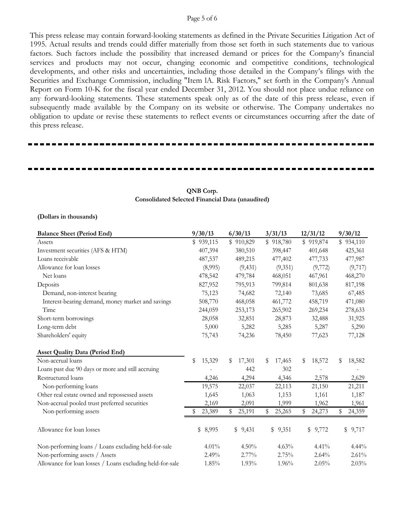#### Page 5 of 6

This press release may contain forward-looking statements as defined in the Private Securities Litigation Act of 1995. Actual results and trends could differ materially from those set forth in such statements due to various factors. Such factors include the possibility that increased demand or prices for the Company's financial services and products may not occur, changing economic and competitive conditions, technological developments, and other risks and uncertainties, including those detailed in the Company's filings with the Securities and Exchange Commission, including "Item lA. Risk Factors," set forth in the Company's Annual Report on Form 10-K for the fiscal year ended December 31, 2012. You should not place undue reliance on any forward-looking statements. These statements speak only as of the date of this press release, even if subsequently made available by the Company on its website or otherwise. The Company undertakes no obligation to update or revise these statements to reflect events or circumstances occurring after the date of this press release.

| <b>Balance Sheet (Period End)</b>                         | 9/30/13      | 6/30/13      | 3/31/13      | 12/31/12     | 9/30/12      |
|-----------------------------------------------------------|--------------|--------------|--------------|--------------|--------------|
| Assets                                                    | \$939,115    | \$910,829    | \$918,780    | \$919,874    | \$934,110    |
| Investment securities (AFS & HTM)                         | 407,394      | 380,510      | 398,447      | 401,648      | 425,361      |
| Loans receivable                                          | 487,537      | 489,215      | 477,402      | 477,733      | 477,987      |
| Allowance for loan losses                                 | (8,995)      | (9, 431)     | (9,351)      | (9,772)      | (9,717)      |
| Net loans                                                 | 478,542      | 479,784      | 468,051      | 467,961      | 468,270      |
| Deposits                                                  | 827,952      | 795,913      | 799,814      | 801,638      | 817,198      |
| Demand, non-interest bearing                              | 75,123       | 74,682       | 72,140       | 73,685       | 67,485       |
| Interest-bearing demand, money market and savings         | 508,770      | 468,058      | 461,772      | 458,719      | 471,080      |
| Time                                                      | 244,059      | 253,173      | 265,902      | 269,234      | 278,633      |
| Short-term borrowings                                     | 28,058       | 32,851       | 28,873       | 32,488       | 31,925       |
| Long-term debt                                            | 5,000        | 5,282        | 5,285        | 5,287        | 5,290        |
| Shareholders' equity                                      | 75,743       | 74,236       | 78,450       | 77,623       | 77,128       |
| <b>Asset Quality Data (Period End)</b>                    |              |              |              |              |              |
| Non-accrual loans                                         | \$<br>15,329 | 17,301<br>\$ | 17,465<br>S  | 18,572<br>S  | \$<br>18,582 |
| Loans past due 90 days or more and still accruing         |              | 442          | 302          |              |              |
| Restructured loans                                        | 4,246        | 4,294        | 4,346        | 2,578        | 2,629        |
| Non-performing loans                                      | 19,575       | 22,037       | 22,113       | 21,150       | 21,211       |
| Other real estate owned and repossessed assets            | 1,645        | 1,063        | 1,153        | 1,161        | 1,187        |
| Non-accrual pooled trust preferred securities             | 2,169        | 2,091        | 1,999        | 1,962        | 1,961        |
| Non-performing assets                                     | 23,389       | \$<br>25,191 | \$<br>25,265 | \$<br>24,273 | \$<br>24,359 |
| Allowance for loan losses                                 | \$ 8,995     | \$9,431      | \$9,351      | \$9,772      | \$9,717      |
| Non-performing loans / Loans excluding held-for-sale      | 4.01%        | 4.50%        | 4.63%        | 4.41%        | 4.44%        |
| Non-performing assets / Assets                            | 2.49%        | $2.77\%$     | 2.75%        | 2.64%        | 2.61%        |
| Allowance for loan losses / Loans excluding held-for-sale | 1.85%        | 1.93%        | 1.96%        | 2.05%        | 2.03%        |

### **QNB Corp. Consolidated Selected Financial Data (unaudited)**

**(Dollars in thousands)**